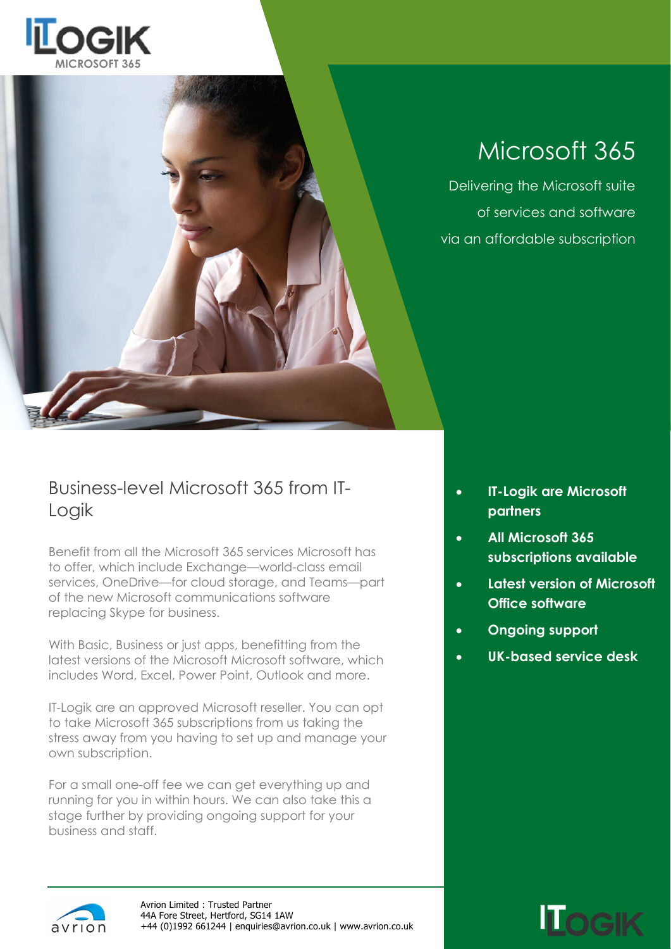



## Microsoft 365

Delivering the Microsoft suite of services and software via an affordable subscription

### Business-level Microsoft 365 from IT-Logik

Benefit from all the Microsoft 365 services Microsoft has to offer, which include Exchange—world-class email services, OneDrive—for cloud storage, and Teams—part of the new Microsoft communications software replacing Skype for business.

With Basic, Business or just apps, benefitting from the latest versions of the Microsoft Microsoft software, which includes Word, Excel, Power Point, Outlook and more.

IT-Logik are an approved Microsoft reseller. You can opt to take Microsoft 365 subscriptions from us taking the stress away from you having to set up and manage your own subscription.

For a small one-off fee we can get everything up and running for you in within hours. We can also take this a stage further by providing ongoing support for your business and staff.

- **IT-Logik are Microsoft partners**
- **All Microsoft 365 subscriptions available**
- **Latest version of Microsoft Office software**
- **Ongoing support**
- **UK-based service desk**